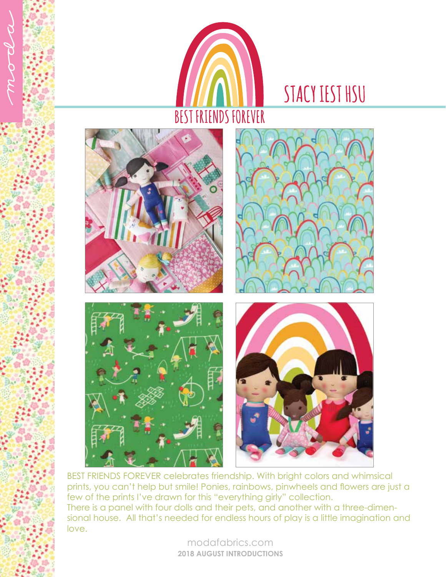

## STACY IEST HSU



BEST FRIENDS FOREVER celebrates friendship. With bright colors and whimsical prints, you can't help but smile! Ponies, rainbows, pinwheels and flowers are just a few of the prints I've drawn for this "everything girly" collection. There is a panel with four dolls and their pets, and another with a three-dimensional house. All that's needed for endless hours of play is a little imagination and love.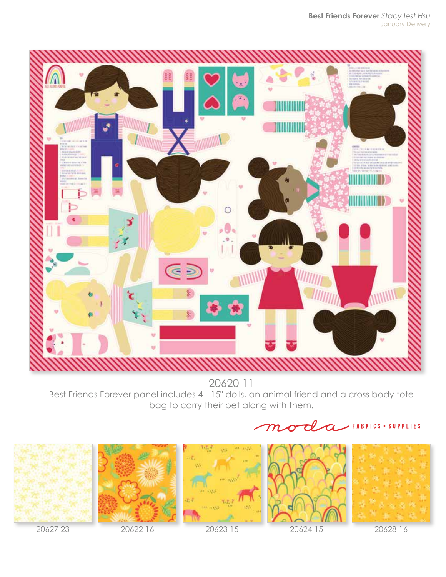

20620 11 Best Friends Forever panel includes 4 - 15" dolls, an animal friend and a cross body tote bag to carry their pet along with them.





20627 23 20622 16 20623 15 20624 15 20628 16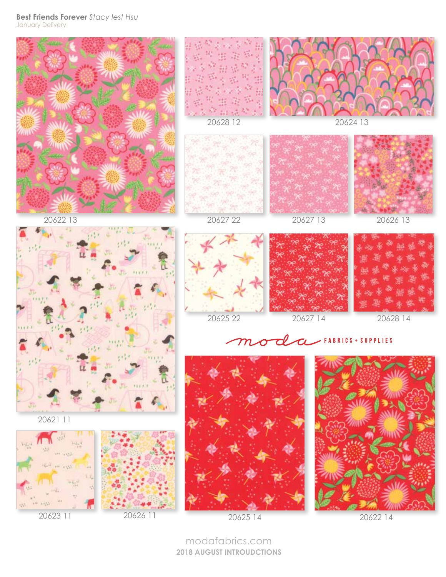**Best Friends Forever** *Stacy Iest Hsu* January Delivery



**2018 AUGUST INTROUDCTIONS**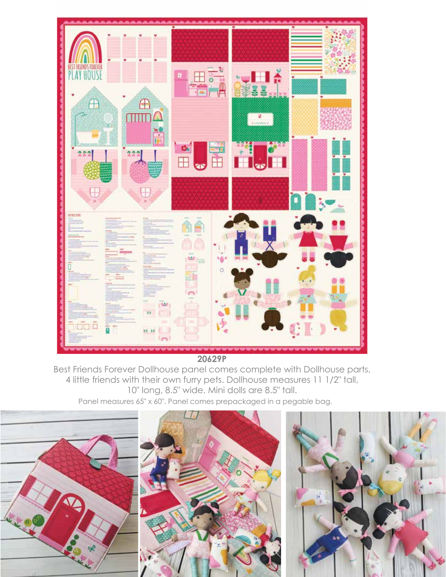

**20629P**

Best Friends Forever Dollhouse panel comes complete with Dollhouse parts, 4 little friends with their own furry pets. Dollhouse measures 11 1/2" tall, 10" long, 8.5" wide. Mini dolls are 8.5" tall. Panel measures 65" x 60". Panel comes prepackaged in a pegable bag.

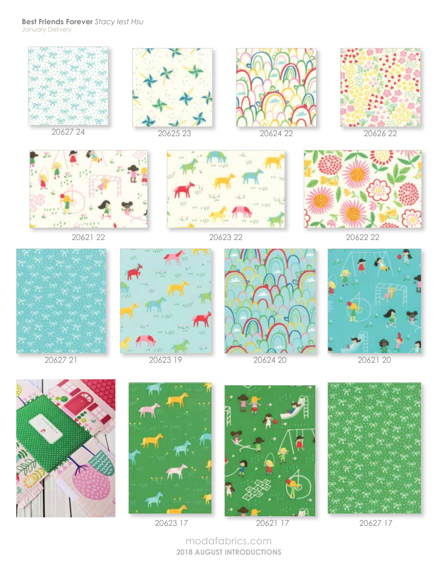## **Best Friends Forever** *Stacy Iest Hsu* January Delivery



modafabrics.com **2018 AUGUST INTRODUCTIONS**

20623 17 20621 17 20627 17